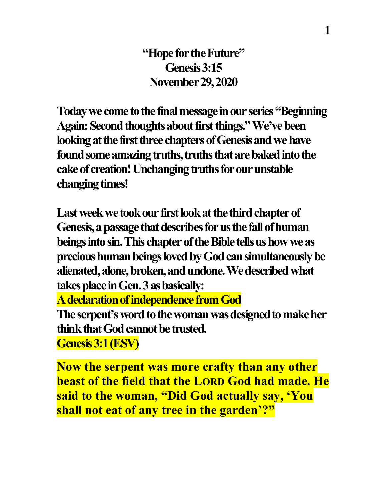**"Hope for the Future" Genesis 3:15 November 29, 2020**

**Today we come to the final message in our series "Beginning Again: Second thoughts about first things." We've been looking at the first three chapters of Genesis and we have**  found some amazing truths, truths that are baked into the **cake of creation!Unchanging truths for our unstable changing times!** 

Last week we took our first look at the third chapter of Genesis, a passage that describes for us the fall of human **beings into sin.This chapter of the Bible tells us how we as precious human beings loved by God can simultaneously be alienated, alone, broken, and undone. We described what**  takes place in Gen. 3 as basically:

**Adeclaration of independence from God**

The serpent's word to the woman was designed to make her **think that God cannot be trusted.** 

**Genesis 3:1 (ESV)** 

**Now the serpent was more crafty than any other beast of the field that the LORD God had made. He said to the woman, "Did God actually say, 'You shall not eat of any tree in the garden'?"**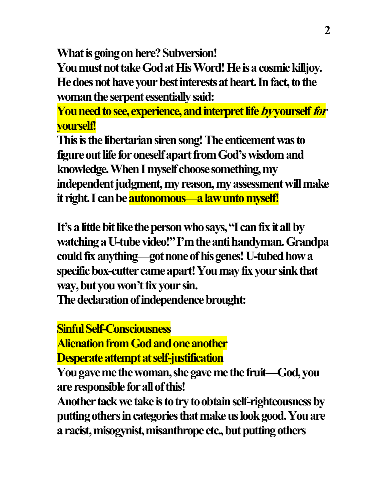**What is going on here? Subversion!**

**You must not take Godat His Word! Heis a cosmic killjoy. He does not have your best interests at heart.In fact, to the woman the serpent essentially said:**

**You need to see, experience, and interpret life by yourself for yourself!**

**This is the libertarian siren song! The enticement was to figure out life for oneself apart from God's wisdom and knowledge. When I myself choose something, my independent judgment, my reason, my assessment will make it right.I can be autonomous—a law unto myself!**

**It's a little bit like the person who says, "I can fix it all by watching a U-tube video!"I'm the anti handyman. Grandpa could fix anything—got none of his genes! U-tubed how a specific box-cutter came apart!You may fix your sink that way, but you won't fix your sin.**

**The declaration of independence brought:**

**Sinful Self-Consciousness**

**Alienation from God and one another Desperate attempt at self-justification**

**You gave me the woman, she gave me the fruit—God, you are responsible for all of this!**

Another tack we take is to try to obtain self-righteousness by **putting others in categories that make us look good. You are a racist, misogynist, misanthrope etc., but putting others**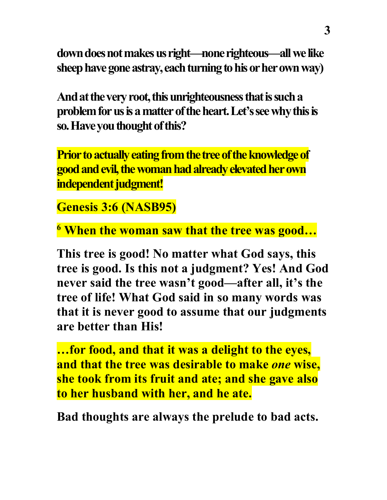**downdoes not makes us right—none righteous—all we like sheep have gone astray, each turning to his or her own way)**

**And at the very root, this unrighteousnessthat is such a** problem for us is a matter of the heart. Let's see why this is **so.Have you thought of this?**

**Prior to actually eating from the tree of the knowledge of good and evil, the woman had already elevated herown independent judgment!**

**Genesis 3:6 (NASB95)** 

**<sup>6</sup> When the woman saw that the tree was good…**

**This tree is good! No matter what God says, this tree is good. Is this not a judgment? Yes! And God never said the tree wasn't good—after all, it's the tree of life! What God said in so many words was that it is never good to assume that our judgments are better than His!**

**…for food, and that it was a delight to the eyes, and that the tree was desirable to make** *one* **wise, she took from its fruit and ate; and she gave also to her husband with her, and he ate.**

**Bad thoughts are always the prelude to bad acts.**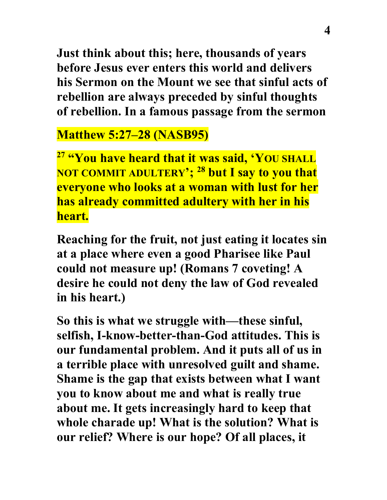**Just think about this; here, thousands of years before Jesus ever enters this world and delivers his Sermon on the Mount we see that sinful acts of rebellion are always preceded by sinful thoughts of rebellion. In a famous passage from the sermon**

# **Matthew 5:27–28 (NASB95)**

**<sup>27</sup> "You have heard that it was said, 'YOU SHALL NOT COMMIT ADULTERY'; 28 but I say to you that everyone who looks at a woman with lust for her has already committed adultery with her in his heart.**

**Reaching for the fruit, not just eating it locates sin at a place where even a good Pharisee like Paul could not measure up! (Romans 7 coveting! A desire he could not deny the law of God revealed in his heart.)**

**So this is what we struggle with—these sinful, selfish, I-know-better-than-God attitudes. This is our fundamental problem. And it puts all of us in a terrible place with unresolved guilt and shame. Shame is the gap that exists between what I want you to know about me and what is really true about me. It gets increasingly hard to keep that whole charade up! What is the solution? What is our relief? Where is our hope? Of all places, it**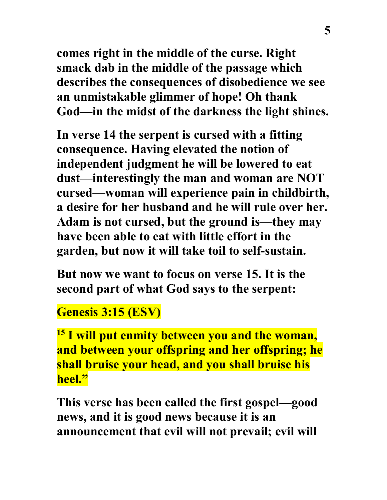**comes right in the middle of the curse. Right smack dab in the middle of the passage which describes the consequences of disobedience we see an unmistakable glimmer of hope! Oh thank God—in the midst of the darkness the light shines.**

**In verse 14 the serpent is cursed with a fitting consequence. Having elevated the notion of independent judgment he will be lowered to eat dust—interestingly the man and woman are NOT cursed—woman will experience pain in childbirth, a desire for her husband and he will rule over her. Adam is not cursed, but the ground is—they may have been able to eat with little effort in the garden, but now it will take toil to self-sustain.**

**But now we want to focus on verse 15. It is the second part of what God says to the serpent:**

### **Genesis 3:15 (ESV)**

**<sup>15</sup> I will put enmity between you and the woman, and between your offspring and her offspring; he shall bruise your head, and you shall bruise his heel."**

**This verse has been called the first gospel—good news, and it is good news because it is an announcement that evil will not prevail; evil will**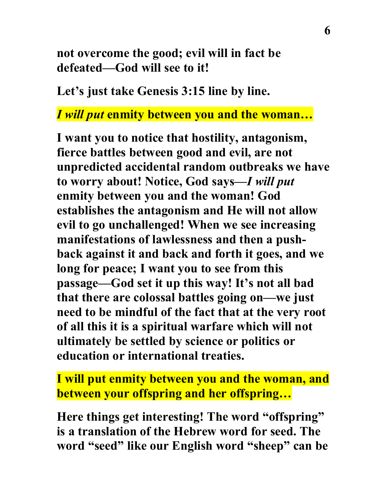**not overcome the good; evil will in fact be defeated—God will see to it!**

**Let's just take Genesis 3:15 line by line.**

#### *I will put* **enmity between you and the woman…**

**I want you to notice that hostility, antagonism, fierce battles between good and evil, are not unpredicted accidental random outbreaks we have to worry about! Notice, God says—***I will put* **enmity between you and the woman! God establishes the antagonism and He will not allow evil to go unchallenged! When we see increasing manifestations of lawlessness and then a pushback against it and back and forth it goes, and we long for peace; I want you to see from this passage—God set it up this way! It's not all bad that there are colossal battles going on—we just need to be mindful of the fact that at the very root of all this it is a spiritual warfare which will not ultimately be settled by science or politics or education or international treaties.**

**I will put enmity between you and the woman, and between your offspring and her offspring…**

**Here things get interesting! The word "offspring" is a translation of the Hebrew word for seed. The word "seed" like our English word "sheep" can be**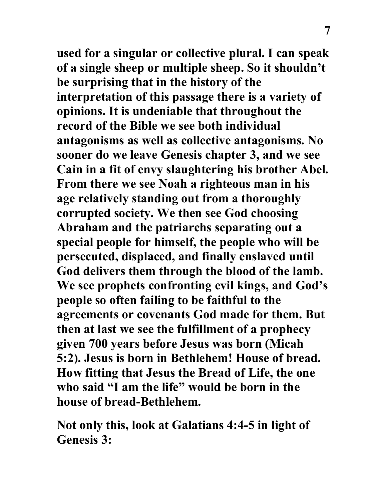**used for a singular or collective plural. I can speak of a single sheep or multiple sheep. So it shouldn't be surprising that in the history of the interpretation of this passage there is a variety of opinions. It is undeniable that throughout the record of the Bible we see both individual antagonisms as well as collective antagonisms. No sooner do we leave Genesis chapter 3, and we see Cain in a fit of envy slaughtering his brother Abel. From there we see Noah a righteous man in his age relatively standing out from a thoroughly corrupted society. We then see God choosing Abraham and the patriarchs separating out a special people for himself, the people who will be persecuted, displaced, and finally enslaved until God delivers them through the blood of the lamb. We see prophets confronting evil kings, and God's people so often failing to be faithful to the agreements or covenants God made for them. But then at last we see the fulfillment of a prophecy given 700 years before Jesus was born (Micah 5:2). Jesus is born in Bethlehem! House of bread. How fitting that Jesus the Bread of Life, the one who said "I am the life" would be born in the house of bread-Bethlehem.** 

**Not only this, look at Galatians 4:4-5 in light of Genesis 3:**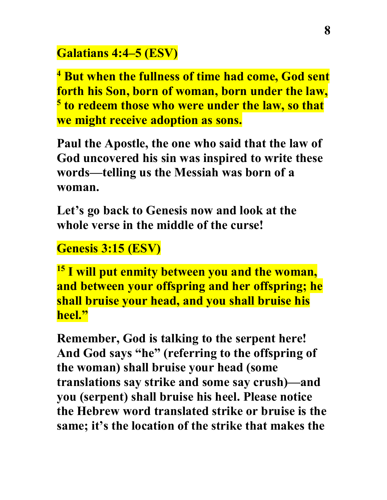# **Galatians 4:4–5 (ESV)**

**<sup>4</sup> But when the fullness of time had come, God sent forth his Son, born of woman, born under the law, <sup>5</sup> to redeem those who were under the law, so that we might receive adoption as sons.**

**Paul the Apostle, the one who said that the law of God uncovered his sin was inspired to write these words—telling us the Messiah was born of a woman.**

**Let's go back to Genesis now and look at the whole verse in the middle of the curse!**

# **Genesis 3:15 (ESV)**

**<sup>15</sup> I will put enmity between you and the woman, and between your offspring and her offspring; he shall bruise your head, and you shall bruise his heel."**

**Remember, God is talking to the serpent here! And God says "he" (referring to the offspring of the woman) shall bruise your head (some translations say strike and some say crush)—and you (serpent) shall bruise his heel. Please notice the Hebrew word translated strike or bruise is the same; it's the location of the strike that makes the**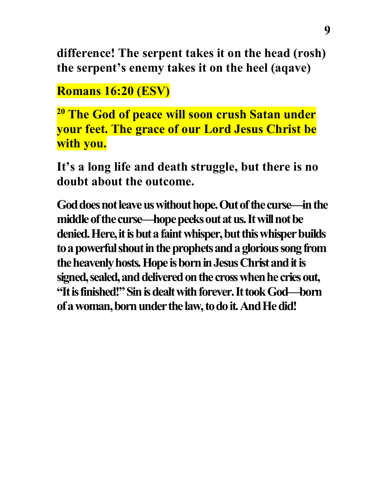**difference! The serpent takes it on the head (rosh) the serpent's enemy takes it on the heel (aqave)**

**Romans 16:20 (ESV)** 

**<sup>20</sup> The God of peace will soon crush Satan under your feet. The grace of our Lord Jesus Christ be with you.**

**It's a long life and death struggle, but there is no doubt about the outcome.**

**God does not leave us without hope. Out of the curse—in the middle of the curse—hope peeks out at us. It will not be denied. Here, it is but a faint whisper, but this whisper builds to a powerful shout in the prophets and a glorious song from the heavenly hosts. Hope is born in Jesus Christ and it is signed, sealed, and delivered on the cross when he cries out, "It is finished!" Sin is dealt with forever. It took God—born of a woman, born under the law, to do it. And He did!**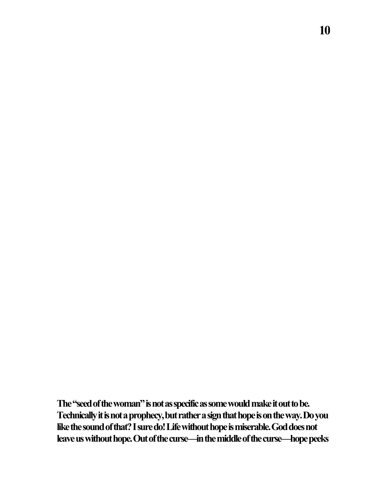**The "seed of the woman" is not as specific as some would make it out to be. Technically it is not a prophecy, but rather a sign that hope is on the way. Do you like the sound of that? I sure do! Life without hope is miserable. God does not leave us without hope. Out of the curse—in the middle of the curse—hope peeks**